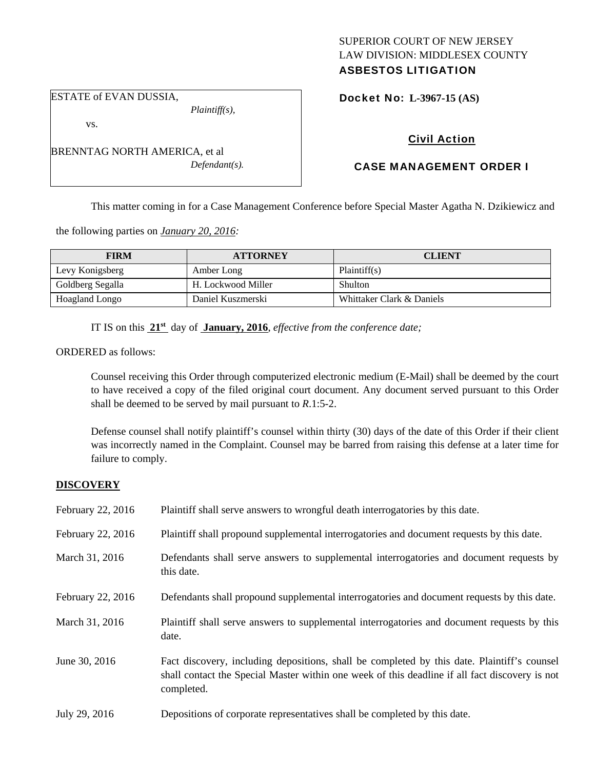## SUPERIOR COURT OF NEW JERSEY LAW DIVISION: MIDDLESEX COUNTY ASBESTOS LITIGATION

Docket No: **L-3967-15 (AS)** 

vs.

ESTATE of EVAN DUSSIA,

BRENNTAG NORTH AMERICA, et al *Defendant(s).* 

*Plaintiff(s),* 

# Civil Action

# CASE MANAGEMENT ORDER I

This matter coming in for a Case Management Conference before Special Master Agatha N. Dzikiewicz and

the following parties on *January 20, 2016:* 

| <b>FIRM</b>      | <b>ATTORNEY</b>    | <b>CLIENT</b>             |
|------------------|--------------------|---------------------------|
| Levy Konigsberg  | Amber Long         | Plaintiff(s)              |
| Goldberg Segalla | H. Lockwood Miller | <b>Shulton</b>            |
| Hoagland Longo   | Daniel Kuszmerski  | Whittaker Clark & Daniels |

IT IS on this **21st** day of **January, 2016**, *effective from the conference date;*

ORDERED as follows:

Counsel receiving this Order through computerized electronic medium (E-Mail) shall be deemed by the court to have received a copy of the filed original court document. Any document served pursuant to this Order shall be deemed to be served by mail pursuant to *R*.1:5-2.

Defense counsel shall notify plaintiff's counsel within thirty (30) days of the date of this Order if their client was incorrectly named in the Complaint. Counsel may be barred from raising this defense at a later time for failure to comply.

## **DISCOVERY**

| February 22, 2016 | Plaintiff shall serve answers to wrongful death interrogatories by this date.                                                                                                                               |
|-------------------|-------------------------------------------------------------------------------------------------------------------------------------------------------------------------------------------------------------|
| February 22, 2016 | Plaintiff shall propound supplemental interrogatories and document requests by this date.                                                                                                                   |
| March 31, 2016    | Defendants shall serve answers to supplemental interrogatories and document requests by<br>this date.                                                                                                       |
| February 22, 2016 | Defendants shall propound supplemental interrogatories and document requests by this date.                                                                                                                  |
| March 31, 2016    | Plaintiff shall serve answers to supplemental interrogatories and document requests by this<br>date.                                                                                                        |
| June 30, 2016     | Fact discovery, including depositions, shall be completed by this date. Plaintiff's counsel<br>shall contact the Special Master within one week of this deadline if all fact discovery is not<br>completed. |
| July 29, 2016     | Depositions of corporate representatives shall be completed by this date.                                                                                                                                   |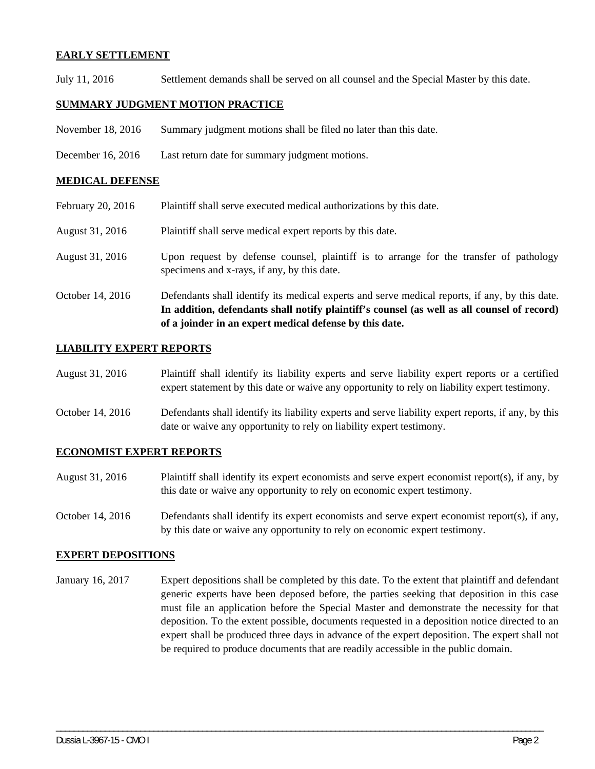## **EARLY SETTLEMENT**

July 11, 2016 Settlement demands shall be served on all counsel and the Special Master by this date.

## **SUMMARY JUDGMENT MOTION PRACTICE**

- November 18, 2016 Summary judgment motions shall be filed no later than this date.
- December 16, 2016 Last return date for summary judgment motions.

#### **MEDICAL DEFENSE**

- February 20, 2016 Plaintiff shall serve executed medical authorizations by this date.
- August 31, 2016 Plaintiff shall serve medical expert reports by this date.
- August 31, 2016 Upon request by defense counsel, plaintiff is to arrange for the transfer of pathology specimens and x-rays, if any, by this date.
- October 14, 2016 Defendants shall identify its medical experts and serve medical reports, if any, by this date. **In addition, defendants shall notify plaintiff's counsel (as well as all counsel of record) of a joinder in an expert medical defense by this date.**

## **LIABILITY EXPERT REPORTS**

- August 31, 2016 Plaintiff shall identify its liability experts and serve liability expert reports or a certified expert statement by this date or waive any opportunity to rely on liability expert testimony.
- October 14, 2016 Defendants shall identify its liability experts and serve liability expert reports, if any, by this date or waive any opportunity to rely on liability expert testimony.

## **ECONOMIST EXPERT REPORTS**

- August 31, 2016 Plaintiff shall identify its expert economists and serve expert economist report(s), if any, by this date or waive any opportunity to rely on economic expert testimony.
- October 14, 2016 Defendants shall identify its expert economists and serve expert economist report(s), if any, by this date or waive any opportunity to rely on economic expert testimony.

## **EXPERT DEPOSITIONS**

January 16, 2017 Expert depositions shall be completed by this date. To the extent that plaintiff and defendant generic experts have been deposed before, the parties seeking that deposition in this case must file an application before the Special Master and demonstrate the necessity for that deposition. To the extent possible, documents requested in a deposition notice directed to an expert shall be produced three days in advance of the expert deposition. The expert shall not be required to produce documents that are readily accessible in the public domain.

\_\_\_\_\_\_\_\_\_\_\_\_\_\_\_\_\_\_\_\_\_\_\_\_\_\_\_\_\_\_\_\_\_\_\_\_\_\_\_\_\_\_\_\_\_\_\_\_\_\_\_\_\_\_\_\_\_\_\_\_\_\_\_\_\_\_\_\_\_\_\_\_\_\_\_\_\_\_\_\_\_\_\_\_\_\_\_\_\_\_\_\_\_\_\_\_\_\_\_\_\_\_\_\_\_\_\_\_\_\_